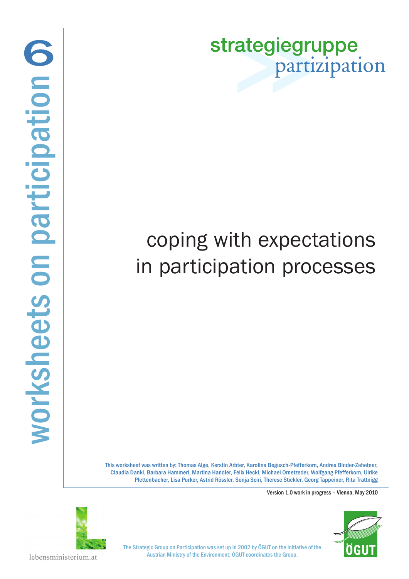strategiegruppe partizipation

# coping with expectations in participation processes

This worksheet was written by: Thomas Alge, Kerstin Arbter, Karolina Begusch-Pfefferkorn, Andrea Binder-Zehetner, Claudia Dankl, Barbara Hammerl, Martina Handler, Felix Heckl, Michael Ornetzeder, Wolfgang Pfefferkorn, Ulrike Plettenbacher, Lisa Purker, Astrid Rössler, Sonja Sciri, Therese Stickler, Georg Tappeiner, Rita Trattnigg

Version 1.0 work in progress – Vienna, May 2010





The Strategic Group on Participation was set up in 2002 by ÖGUT on the initiative of the Austrian Ministry of the Environment; ÖGUT coordinates the Group.

lebensministerium.at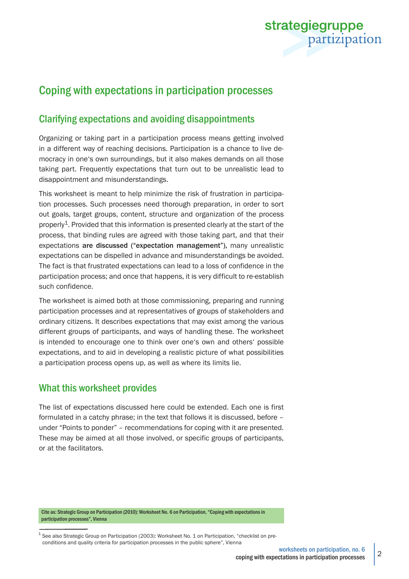

## Coping with expectations in participation processes

### Clarifying expectations and avoiding disappointments

Organizing or taking part in a participation process means getting involved in a different way of reaching decisions. Participation is a chance to live democracy in one's own surroundings, but it also makes demands on all those taking part. Frequently expectations that turn out to be unrealistic lead to disappointment and misunderstandings.

This worksheet is meant to help minimize the risk of frustration in participation processes. Such processes need thorough preparation, in order to sort out goals, target groups, content, structure and organization of the process properly<sup>1</sup>. Provided that this information is presented clearly at the start of the process, that binding rules are agreed with those taking part, and that their expectations are discussed ("expectation management"), many unrealistic expectations can be dispelled in advance and misunderstandings be avoided. The fact is that frustrated expectations can lead to a loss of confidence in the participation process; and once that happens, it is very difficult to re-establish such confidence.

The worksheet is aimed both at those commissioning, preparing and running participation processes and at representatives of groups of stakeholders and ordinary citizens. It describes expectations that may exist among the various different groups of participants, and ways of handling these. The worksheet is intended to encourage one to think over one's own and others' possible expectations, and to aid in developing a realistic picture of what possibilities a participation process opens up, as well as where its limits lie.

#### What this worksheet provides

The list of expectations discussed here could be extended. Each one is first formulated in a catchy phrase; in the text that follows it is discussed, before – under "Points to ponder" – recommendations for coping with it are presented. These may be aimed at all those involved, or specific groups of participants, or at the facilitators.

Cite as: Strategic Group on Participation (2010): Worksheet No. 6 on Participation, "Coping with expectations in participation processes", Vienna

 $1$  See also Strategic Group on Participation (2003): Worksheet No. 1 on Participation, "checklist on preconditions and quality criteria for participation processes in the public sphere", Vienna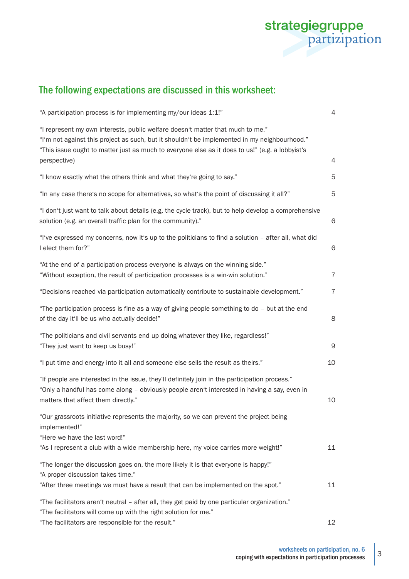

# The following expectations are discussed in this worksheet:

| "A participation process is for implementing my/our ideas 1:1!"                                                                                                                                                                                                                                   | 4              |
|---------------------------------------------------------------------------------------------------------------------------------------------------------------------------------------------------------------------------------------------------------------------------------------------------|----------------|
| "I represent my own interests, public welfare doesn't matter that much to me."<br>"I'm not against this project as such, but it shouldn't be implemented in my neighbourhood."<br>"This issue ought to matter just as much to everyone else as it does to us!" (e.g. a lobbyist's<br>perspective) | 4              |
| "I know exactly what the others think and what they're going to say."                                                                                                                                                                                                                             | 5              |
| "In any case there's no scope for alternatives, so what's the point of discussing it all?"                                                                                                                                                                                                        | 5              |
| "I don't just want to talk about details (e.g. the cycle track), but to help develop a comprehensive<br>solution (e.g. an overall traffic plan for the community)."                                                                                                                               | 6              |
| "I've expressed my concerns, now it's up to the politicians to find a solution - after all, what did<br>I elect them for?"                                                                                                                                                                        | 6              |
| "At the end of a participation process everyone is always on the winning side."<br>"Without exception, the result of participation processes is a win-win solution."                                                                                                                              | $\overline{7}$ |
| "Decisions reached via participation automatically contribute to sustainable development."                                                                                                                                                                                                        | $\overline{7}$ |
| "The participation process is fine as a way of giving people something to do - but at the end<br>of the day it'll be us who actually decide!"                                                                                                                                                     | 8              |
| "The politicians and civil servants end up doing whatever they like, regardless!"<br>"They just want to keep us busy!"                                                                                                                                                                            | 9              |
| "I put time and energy into it all and someone else sells the result as theirs."                                                                                                                                                                                                                  | 10             |
| "If people are interested in the issue, they'll definitely join in the participation process."<br>"Only a handful has come along - obviously people aren't interested in having a say, even in<br>matters that affect them directly."                                                             | 10             |
| "Our grassroots initiative represents the majority, so we can prevent the project being<br>implemented!"<br>"Here we have the last word!"                                                                                                                                                         |                |
| "As I represent a club with a wide membership here, my voice carries more weight!"                                                                                                                                                                                                                | 11             |
| "The longer the discussion goes on, the more likely it is that everyone is happy!"<br>"A proper discussion takes time."<br>"After three meetings we must have a result that can be implemented on the spot."                                                                                      | 11             |
| "The facilitators aren't neutral - after all, they get paid by one particular organization."<br>"The facilitators will come up with the right solution for me."                                                                                                                                   |                |
| "The facilitators are responsible for the result."                                                                                                                                                                                                                                                | 12             |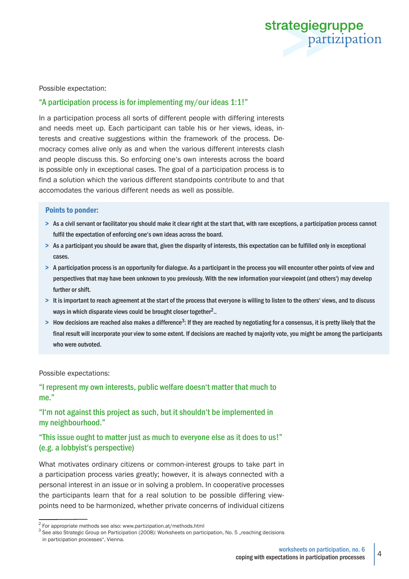

Possible expectation:

#### "A participation process is for implementing my/our ideas 1:1!"

In a participation process all sorts of different people with differing interests and needs meet up. Each participant can table his or her views, ideas, interests and creative suggestions within the framework of the process. Democracy comes alive only as and when the various different interests clash and people discuss this. So enforcing one's own interests across the board is possible only in exceptional cases. The goal of a participation process is to find a solution which the various different standpoints contribute to and that accomodates the various different needs as well as possible.

#### Points to ponder:

- > As a civil servant or facilitator you should make it clear right at the start that, with rare exceptions, a participation process cannot fulfil the expectation of enforcing one's own ideas across the board.
- > As a participant you should be aware that, given the disparity of interests, this expectation can be fulfilled only in exceptional cases.
- > A participation process is an opportunity for dialogue. As a participant in the process you will encounter other points of view and perspectives that may have been unknown to you previously. With the new information your viewpoint (and others') may develop further or shift.
- > It is important to reach agreement at the start of the process that everyone is willing to listen to the others' views, and to discuss ways in which disparate views could be brought closer together<sup>2</sup>..
- $>$  How decisions are reached also makes a difference<sup>3</sup>: If they are reached by negotiating for a consensus, it is pretty likely that the final result will incorporate your view to some extent. If decisions are reached by majority vote, you might be among the participants who were outvoted.

#### Possible expectations:

"I represent my own interests, public welfare doesn't matter that much to me."

#### "I'm not against this project as such, but it shouldn't be implemented in my neighbourhood."

#### "This issue ought to matter just as much to everyone else as it does to us!" (e.g. a lobbyist's perspective)

What motivates ordinary citizens or common-interest groups to take part in a participation process varies greatly; however, it is always connected with a personal interest in an issue or in solving a problem. In cooperative processes the participants learn that for a real solution to be possible differing viewpoints need to be harmonized, whether private concerns of individual citizens

 $2$  For appropriate methods see also: www.partizipation.at/methods.html

<sup>3</sup> See also Strategic Group on Participation (2008): Worksheets on participation, No. 5 "reaching decisions in participation processes", Vienna.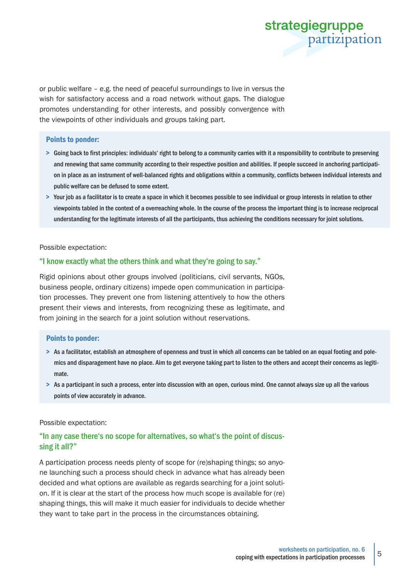

or public welfare – e.g. the need of peaceful surroundings to live in versus the wish for satisfactory access and a road network without gaps. The dialogue promotes understanding for other interests, and possibly convergence with the viewpoints of other individuals and groups taking part.

#### Points to ponder:

- > Going back to first principles: individuals' right to belong to a community carries with it a responsibility to contribute to preserving and renewing that same community according to their respective position and abilities. If people succeed in anchoring participation in place as an instrument of well-balanced rights and obligations within a community, conflicts between individual interests and public welfare can be defused to some extent.
- > Your job as a facilitator is to create a space in which it becomes possible to see individual or group interests in relation to other viewpoints tabled in the context of a overreaching whole. In the course of the process the important thing is to increase reciprocal understanding for the legitimate interests of all the participants, thus achieving the conditions necessary for joint solutions.

Possible expectation:

#### "I know exactly what the others think and what they're going to say."

Rigid opinions about other groups involved (politicians, civil servants, NGOs, business people, ordinary citizens) impede open communication in participation processes. They prevent one from listening attentively to how the others present their views and interests, from recognizing these as legitimate, and from joining in the search for a joint solution without reservations.

#### Points to ponder:

- > As a facilitator, establish an atmosphere of openness and trust in which all concerns can be tabled on an equal footing and polemics and disparagement have no place. Aim to get everyone taking part to listen to the others and accept their concerns as legitimate.
- > As a participant in such a process, enter into discussion with an open, curious mind. One cannot always size up all the various points of view accurately in advance.

#### Possible expectation:

#### "In any case there's no scope for alternatives, so what's the point of discussing it all?"

A participation process needs plenty of scope for (re)shaping things; so anyone launching such a process should check in advance what has already been decided and what options are available as regards searching for a joint solution. If it is clear at the start of the process how much scope is available for (re) shaping things, this will make it much easier for individuals to decide whether they want to take part in the process in the circumstances obtaining.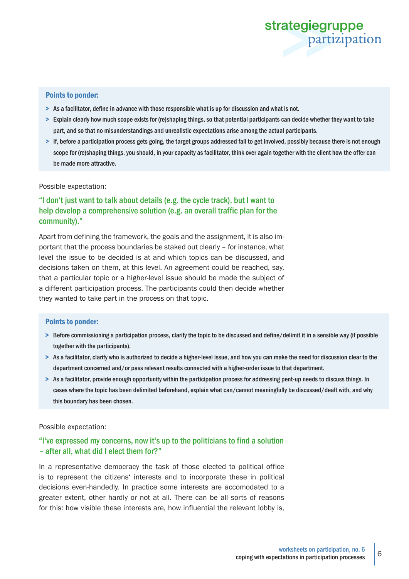

#### Points to ponder:

- > As a facilitator, define in advance with those responsible what is up for discussion and what is not.
- > Explain clearly how much scope exists for (re)shaping things, so that potential participants can decide whether they want to take part, and so that no misunderstandings and unrealistic expectations arise among the actual participants.
- > If, before a participation process gets going, the target groups addressed fail to get involved, possibly because there is not enough scope for (re)shaping things, you should, in your capacity as facilitator, think over again together with the client how the offer can be made more attractive.

#### Possible expectation:

#### "I don't just want to talk about details (e.g. the cycle track), but I want to help develop a comprehensive solution (e.g. an overall traffic plan for the community)."

Apart from defining the framework, the goals and the assignment, it is also important that the process boundaries be staked out clearly – for instance, what level the issue to be decided is at and which topics can be discussed, and decisions taken on them, at this level. An agreement could be reached, say, that a particular topic or a higher-level issue should be made the subject of a different participation process. The participants could then decide whether they wanted to take part in the process on that topic.

#### Points to ponder:

- > Before commissioning a participation process, clarify the topic to be discussed and define/delimit it in a sensible way (if possible together with the participants).
- > As a facilitator, clarify who is authorized to decide a higher-level issue, and how you can make the need for discussion clear to the department concerned and/or pass relevant results connected with a higher-order issue to that department.
- > As a facilitator, provide enough opportunity within the participation process for addressing pent-up needs to discuss things. In cases where the topic has been delimited beforehand, explain what can/cannot meaningfully be discussed/dealt with, and why this boundary has been chosen.

#### Possible expectation:

#### "I've expressed my concerns, now it's up to the politicians to find a solution – after all, what did I elect them for?"

In a representative democracy the task of those elected to political office is to represent the citizens' interests and to incorporate these in political decisions even-handedly. In practice some interests are accomodated to a greater extent, other hardly or not at all. There can be all sorts of reasons for this: how visible these interests are, how influential the relevant lobby is,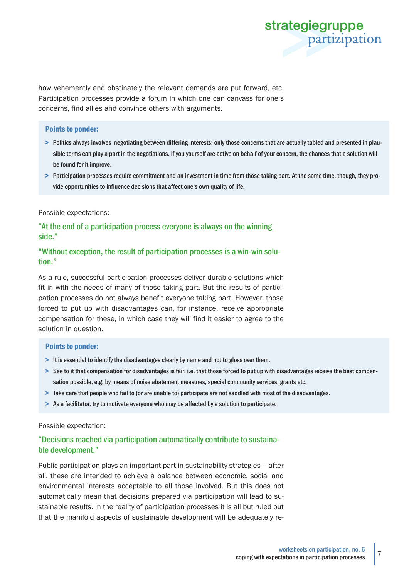

how vehemently and obstinately the relevant demands are put forward, etc. Participation processes provide a forum in which one can canvass for one's concerns, find allies and convince others with arguments.

#### Points to ponder:

- > Politics always involves negotiating between differing interests; only those concerns that are actually tabled and presented in plausible terms can play a part in the negotiations. If you yourself are active on behalf of your concern, the chances that a solution will be found for it improve.
- > Participation processes require commitment and an investment in time from those taking part. At the same time, though, they provide opportunities to influence decisions that affect one's own quality of life.

#### Possible expectations:

"At the end of a participation process everyone is always on the winning side."

#### "Without exception, the result of participation processes is a win-win solution."

As a rule, successful participation processes deliver durable solutions which fit in with the needs of many of those taking part. But the results of participation processes do not always benefit everyone taking part. However, those forced to put up with disadvantages can, for instance, receive appropriate compensation for these, in which case they will find it easier to agree to the solution in question.

#### Points to ponder:

- > It is essential to identify the disadvantages clearly by name and not to gloss over them.
- > See to it that compensation for disadvantages is fair, i.e. that those forced to put up with disadvantages receive the best compensation possible, e.g. by means of noise abatement measures, special community services, grants etc.
- > Take care that people who fail to (or are unable to) participate are not saddled with most of the disadvantages.
- > As a facilitator, try to motivate everyone who may be affected by a solution to participate.

#### Possible expectation:

#### "Decisions reached via participation automatically contribute to sustainable development."

Public participation plays an important part in sustainability strategies – after all, these are intended to achieve a balance between economic, social and environmental interests acceptable to all those involved. But this does not automatically mean that decisions prepared via participation will lead to sustainable results. In the reality of participation processes it is all but ruled out that the manifold aspects of sustainable development will be adequately re-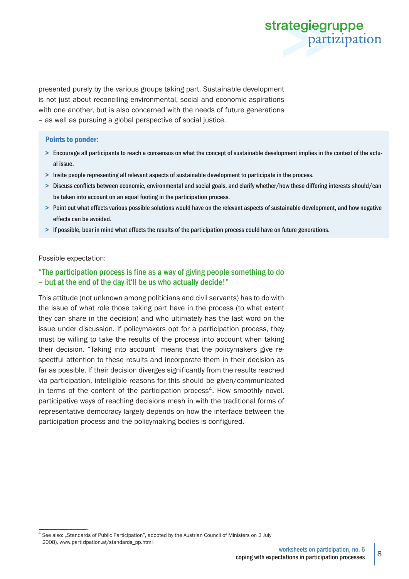

presented purely by the various groups taking part. Sustainable development is not just about reconciling environmental, social and economic aspirations with one another, but is also concerned with the needs of future generations – as well as pursuing a global perspective of social justice.

#### Points to ponder:

- > Encourage all participants to reach a consensus on what the concept of sustainable development implies in the context of the actual issue.
- > Invite people representing all relevant aspects of sustainable development to participate in the process.
- > Discuss conflicts between economic, environmental and social goals, and clarify whether/how these differing interests should/can be taken into account on an equal footing in the participation process.
- > Point out what effects various possible solutions would have on the relevant aspects of sustainable development, and how negative effects can be avoided.
- > If possible, bear in mind what effects the results of the participation process could have on future generations.

#### Possible expectation:

#### "The participation process is fine as a way of giving people something to do – but at the end of the day it'll be us who actually decide!"

This attitude (not unknown among politicians and civil servants) has to do with the issue of what role those taking part have in the process (to what extent they can share in the decision) and who ultimately has the last word on the issue under discussion. If policymakers opt for a participation process, they must be willing to take the results of the process into account when taking their decision. "Taking into account" means that the policymakers give respectful attention to these results and incorporate them in their decision as far as possible. If their decision diverges significantly from the results reached via participation, intelligible reasons for this should be given/communicated in terms of the content of the participation process<sup>4</sup>. How smoothly novel, participative ways of reaching decisions mesh in with the traditional forms of representative democracy largely depends on how the interface between the participation process and the policymaking bodies is configured.

<sup>&</sup>lt;sup>4</sup> See also: "Standards of Public Participation", adopted by the Austrian Council of Ministers on 2 July 2008), www.partizipation.at/standards\_pp.html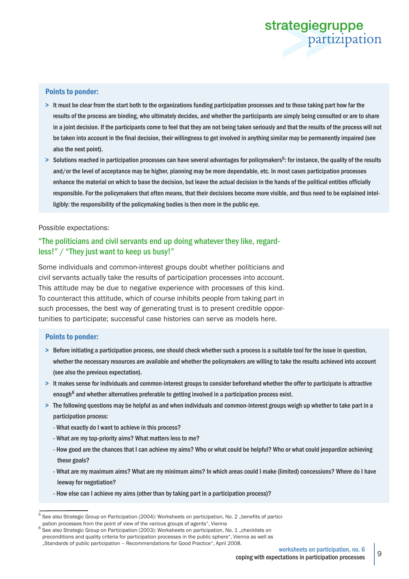# strategiegruppe partizipation

#### Points to ponder:

- > It must be clear from the start both to the organizations funding participation processes and to those taking part how far the results of the process are binding, who ultimately decides, and whether the participants are simply being consulted or are to share in a joint decision. If the participants come to feel that they are not being taken seriously and that the results of the process will not be taken into account in the final decision, their willingness to get involved in anything similar may be permanently impaired (see also the next point).
- > Solutions reached in participation processes can have several advantages for policymakers<sup>5</sup>: for instance, the quality of the results and/or the level of acceptance may be higher, planning may be more dependable, etc. In most cases participation processes enhance the material on which to base the decision, but leave the actual decision in the hands of the political entities officially responsible. For the policymakers that often means, that their decisions become more visible, and thus need to be explained intelligibly: the responsibility of the policymaking bodies is then more in the public eye.

Possible expectations:

#### "The politicians and civil servants end up doing whatever they like, regardless!" / "They just want to keep us busy!"

Some individuals and common-interest groups doubt whether politicians and civil servants actually take the results of participation processes into account. This attitude may be due to negative experience with processes of this kind. To counteract this attitude, which of course inhibits people from taking part in such processes, the best way of generating trust is to present credible opportunities to participate; successful case histories can serve as models here.

#### Points to ponder:

- > Before initiating a participation process, one should check whether such a process is a suitable tool for the issue in question, whether the necessary resources are available and whether the policymakers are willing to take the results achieved into account (see also the previous expectation).
- > It makes sense for individuals and common-interest groups to consider beforehand whether the offer to participate is attractive enough<sup>6</sup> and whether alternatives preferable to getting involved in a participation process exist.
- > The following questions may be helpful as and when individuals and common-interest groups weigh up whether to take part in a participation process:
	- What exactly do I want to achieve in this process?
	- What are my top-priority aims? What matters less to me?
	- How good are the chances that I can achieve my aims? Who or what could be helpful? Who or what could jeopardize achieving these goals?
	- What are my maximum aims? What are my minimum aims? In which areas could I make (limited) concessions? Where do I have leeway for negotiation?
	- How else can I achieve my aims (other than by taking part in a participation process)?

<sup>&</sup>lt;sup>5</sup> See also Strategic Group on Participation (2004): Worksheets on participation, No. 2 "benefits of partici-

pation processes from the point of view of the various groups of agents", Vienna

See also Strategic Group on Participation (2003): Worksheets on participation, No. 1 "checklists on preconditions and quality criteria for participation processes in the public sphere", Vienna as well as "Standards of public participation – Recommendations for Good Practice", April 2008.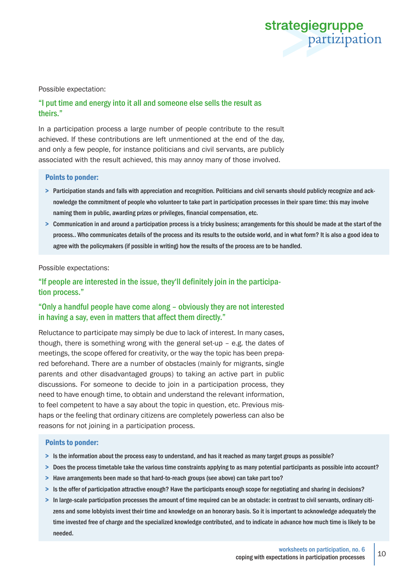

#### Possible expectation:

#### "I put time and energy into it all and someone else sells the result as theirs."

In a participation process a large number of people contribute to the result achieved. If these contributions are left unmentioned at the end of the day, and only a few people, for instance politicians and civil servants, are publicly associated with the result achieved, this may annoy many of those involved.

#### Points to ponder:

- > Participation stands and falls with appreciation and recognition. Politicians and civil servants should publicly recognize and acknowledge the commitment of people who volunteer to take part in participation processes in their spare time: this may involve naming them in public, awarding prizes or privileges, financial compensation, etc.
- > Communication in and around a participation process is a tricky business; arrangements for this should be made at the start of the process.. Who communicates details of the process and its results to the outside world, and in what form? It is also a good idea to agree with the policymakers (if possible in writing) how the results of the process are to be handled.

#### Possible expectations:

"If people are interested in the issue, they'll definitely join in the participation process."

#### "Only a handful people have come along – obviously they are not interested in having a say, even in matters that affect them directly."

Reluctance to participate may simply be due to lack of interest. In many cases, though, there is something wrong with the general set-up – e.g. the dates of meetings, the scope offered for creativity, or the way the topic has been prepared beforehand. There are a number of obstacles (mainly for migrants, single parents and other disadvantaged groups) to taking an active part in public discussions. For someone to decide to join in a participation process, they need to have enough time, to obtain and understand the relevant information, to feel competent to have a say about the topic in question, etc. Previous mishaps or the feeling that ordinary citizens are completely powerless can also be reasons for not joining in a participation process.

#### Points to ponder:

- > Is the information about the process easy to understand, and has it reached as many target groups as possible?
- > Does the process timetable take the various time constraints applying to as many potential participants as possible into account?
- > Have arrangements been made so that hard-to-reach groups (see above) can take part too?
- > Is the offer of participation attractive enough? Have the participants enough scope for negotiating and sharing in decisions?
- > In large-scale participation processes the amount of time required can be an obstacle: in contrast to civil servants, ordinary citizens and some lobbyists invest their time and knowledge on an honorary basis. So it is important to acknowledge adequately the time invested free of charge and the specialized knowledge contributed, and to indicate in advance how much time is likely to be needed.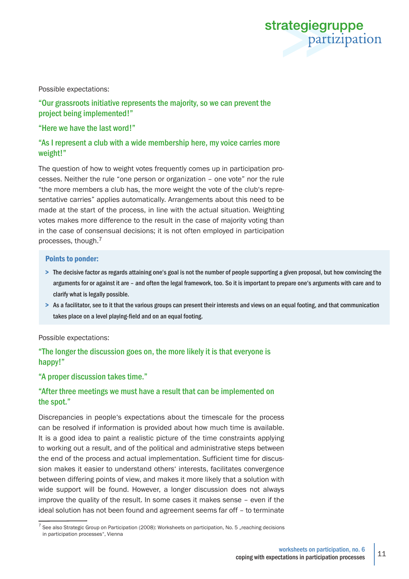

#### Possible expectations:

#### "Our grassroots initiative represents the majority, so we can prevent the project being implemented!"

#### "Here we have the last word!"

#### "As I represent a club with a wide membership here, my voice carries more weight!"

The question of how to weight votes frequently comes up in participation processes. Neither the rule "one person or organization – one vote" nor the rule "the more members a club has, the more weight the vote of the club's representative carries" applies automatically. Arrangements about this need to be made at the start of the process, in line with the actual situation. Weighting votes makes more difference to the result in the case of majority voting than in the case of consensual decisions; it is not often employed in participation processes, though.7

#### Points to ponder:

- > The decisive factor as regards attaining one's goal is not the number of people supporting a given proposal, but how convincing the arguments for or against it are – and often the legal framework, too. So it is important to prepare one's arguments with care and to clarify what is legally possible.
- > As a facilitator, see to it that the various groups can present their interests and views on an equal footing, and that communication takes place on a level playing-field and on an equal footing.

#### Possible expectations:

#### "The longer the discussion goes on, the more likely it is that everyone is happy!"

#### "A proper discussion takes time."

#### "After three meetings we must have a result that can be implemented on the spot."

Discrepancies in people's expectations about the timescale for the process can be resolved if information is provided about how much time is available. It is a good idea to paint a realistic picture of the time constraints applying to working out a result, and of the political and administrative steps between the end of the process and actual implementation. Sufficient time for discussion makes it easier to understand others' interests, facilitates convergence between differing points of view, and makes it more likely that a solution with wide support will be found. However, a longer discussion does not always improve the quality of the result. In some cases it makes sense – even if the ideal solution has not been found and agreement seems far off – to terminate

 $^7$  See also Strategic Group on Participation (2008): Worksheets on participation, No. 5 "reaching decisions in participation processes", Vienna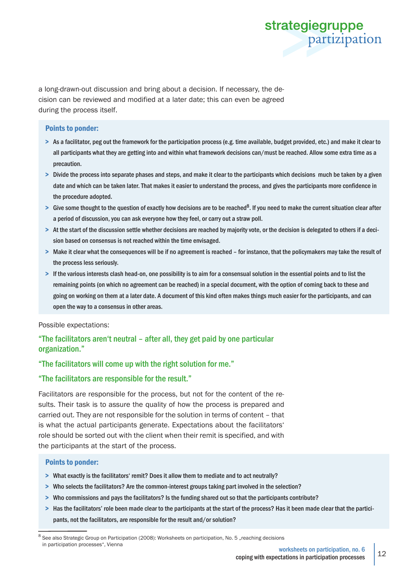

a long-drawn-out discussion and bring about a decision. If necessary, the decision can be reviewed and modified at a later date; this can even be agreed during the process itself.

#### Points to ponder:

- > As a facilitator, peg out the framework for the participation process (e.g. time available, budget provided, etc.) and make it clear to all participants what they are getting into and within what framework decisions can/must be reached. Allow some extra time as a precaution.
- > Divide the process into separate phases and steps, and make it clear to the participants which decisions much be taken by a given date and which can be taken later. That makes it easier to understand the process, and gives the participants more confidence in the procedure adopted.
- $>$  Give some thought to the question of exactly how decisions are to be reached<sup>8</sup>. If you need to make the current situation clear after a period of discussion, you can ask everyone how they feel, or carry out a straw poll.
- > At the start of the discussion settle whether decisions are reached by majority vote, or the decision is delegated to others if a decision based on consensus is not reached within the time envisaged.
- > Make it clear what the consequences will be if no agreement is reached for instance, that the policymakers may take the result of the process less seriously.
- > If the various interests clash head-on, one possibility is to aim for a consensual solution in the essential points and to list the remaining points (on which no agreement can be reached) in a special document, with the option of coming back to these and going on working on them at a later date. A document of this kind often makes things much easier for the participants, and can open the way to a consensus in other areas.

Possible expectations:

#### "The facilitators aren't neutral – after all, they get paid by one particular organization."

#### "The facilitators will come up with the right solution for me."

#### "The facilitators are responsible for the result."

Facilitators are responsible for the process, but not for the content of the results. Their task is to assure the quality of how the process is prepared and carried out. They are not responsible for the solution in terms of content – that is what the actual participants generate. Expectations about the facilitators' role should be sorted out with the client when their remit is specified, and with the participants at the start of the process.

#### Points to ponder:

- > What exactly is the facilitators' remit? Does it allow them to mediate and to act neutrally?
- > Who selects the facilitators? Are the common-interest groups taking part involved in the selection?
- > Who commissions and pays the facilitators? Is the funding shared out so that the participants contribute?
- > Has the facilitators' role been made clear to the participants at the start of the process? Has it been made clear that the participants, not the facilitators, are responsible for the result and/or solution?

<sup>8</sup> See also Strategic Group on Participation (2008): Worksheets on participation, No. 5 "reaching decisions in participation processes", Vienna